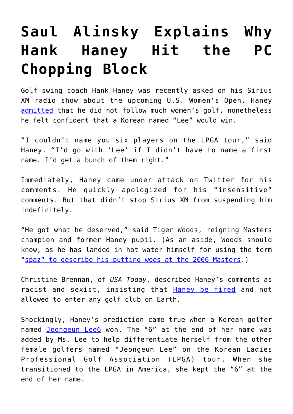## **[Saul Alinsky Explains Why](https://intellectualtakeout.org/2019/06/saul-alinsky-explains-why-hank-haney-hit-the-pc-chopping-block/) [Hank Haney Hit the PC](https://intellectualtakeout.org/2019/06/saul-alinsky-explains-why-hank-haney-hit-the-pc-chopping-block/) [Chopping Block](https://intellectualtakeout.org/2019/06/saul-alinsky-explains-why-hank-haney-hit-the-pc-chopping-block/)**

Golf swing coach Hank Haney was recently asked on his Sirius XM radio show about the upcoming U.S. Women's Open. Haney [admitted](https://www.golfchannel.com/news/hank-haney-will-predict-korean-win-uswo-couldnt-name-6-players-lpga-tour) that he did not follow much women's golf, nonetheless he felt confident that a Korean named "Lee" would win.

"I couldn't name you six players on the LPGA tour," said Haney. "I'd go with 'Lee' if I didn't have to name a first name. I'd get a bunch of them right."

Immediately, Haney came under attack on Twitter for his comments. He quickly apologized for his "insensitive" comments. But that didn't stop Sirius XM from suspending him indefinitely.

"He got what he deserved," said Tiger Woods, reigning Masters champion and former Haney pupil. (As an aside, Woods should know, as he has landed in hot water himself for using the term "[spaz" to describe his putting woes at the 2006 Masters.](https://www.golfchannel.com/article/associated-press/woods-apologizes-spaz-comment))

Christine Brennan, of *USA Today*, described Haney's comments as racist and sexist, insisting that [Haney be fired](https://www.usatoday.com/story/sports/christinebrennan/2019/05/29/hank-haney-sexist-racist-remarks-should-be-fired/1275733001/) and not allowed to enter any golf club on Earth.

Shockingly, Haney's prediction came true when a Korean golfer named [Jeongeun Lee6](https://www.golfchannel.com/news/after-further-review-explaining-6-jeongeun-lee6) won. The "6" at the end of her name was added by Ms. Lee to help differentiate herself from the other female golfers named "Jeongeun Lee" on the Korean Ladies Professional Golf Association (LPGA) tour. When she transitioned to the LPGA in America, she kept the "6" at the end of her name.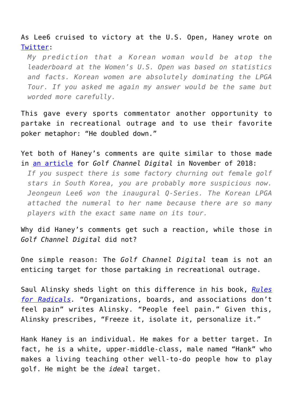As Lee6 cruised to victory at the U.S. Open, Haney wrote on [Twitter](https://twitter.com/HankHaney/status/1135306504494387200?ref_src=twsrc%5Etfw%7Ctwcamp%5Etweetembed&ref_url=https%3A%2F%2Fwww.foxnews.com%2Fsports%2Fhank-haney-lpga-remarks-double-down):

*My prediction that a Korean woman would be atop the leaderboard at the Women's U.S. Open was based on statistics and facts. Korean women are absolutely dominating the LPGA Tour. If you asked me again my answer would be the same but worded more carefully.*

This gave every sports commentator another opportunity to partake in recreational outrage and to use their favorite poker metaphor: "He doubled down."

Yet both of Haney's comments are quite similar to those made in [an article](https://www.golfchannel.com/news/after-further-review-explaining-6-jeongeun-lee6) for *Golf Channel Digital* in November of 2018:

*If you suspect there is some factory churning out female golf stars in South Korea, you are probably more suspicious now. Jeongeun Lee6 won the inaugural Q-Series. The Korean LPGA attached the numeral to her name because there are so many players with the exact same name on its tour.*

Why did Haney's comments get such a reaction, while those in *Golf Channel Digital* did not?

One simple reason: The *Golf Channel Digital* team is not an enticing target for those partaking in recreational outrage.

Saul Alinsky sheds light on this difference in his book, *[Rules](https://www.amazon.com/gp/product/0679721134/ref=as_li_qf_asin_il_tl?ie=UTF8&tag=intelltakeo0d-20&creative=9325&linkCode=as2&creativeASIN=0679721134&linkId=14cb4d6253c38d086122a9424fe7e8e4) [for Radicals](https://www.amazon.com/gp/product/0679721134/ref=as_li_qf_asin_il_tl?ie=UTF8&tag=intelltakeo0d-20&creative=9325&linkCode=as2&creativeASIN=0679721134&linkId=14cb4d6253c38d086122a9424fe7e8e4).* "Organizations, boards, and associations don't feel pain" writes Alinsky. "People feel pain." Given this, Alinsky prescribes, "Freeze it, isolate it, personalize it."

Hank Haney is an individual. He makes for a better target. In fact, he is a white, upper-middle-class, male named "Hank" who makes a living teaching other well-to-do people how to play golf. He might be the *ideal* target.